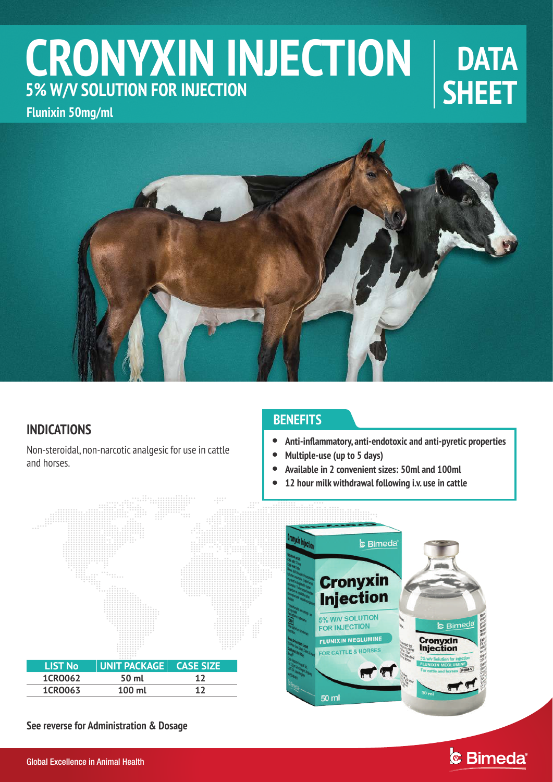# **CRONYXIN INJECTION 5% W/V SOLUTION FOR INJECTION**

## **DATA SHEET**

**Flunixin 50mg/ml**



## **INDICATIONS**

Non-steroidal, non-narcotic analgesic for use in cattle and horses.

### **BENEFITS**

- $\bullet$ **Anti-inflammatory, anti-endotoxic and anti-pyretic properties**
- $\bullet$ **Multiple-use (up to 5 days)**
- $\bullet$ **Available in 2 convenient sizes: 50ml and 100ml**
	- **12 hour milk withdrawal following i.v. use in cattle**



**See reverse for Administration & Dosage**